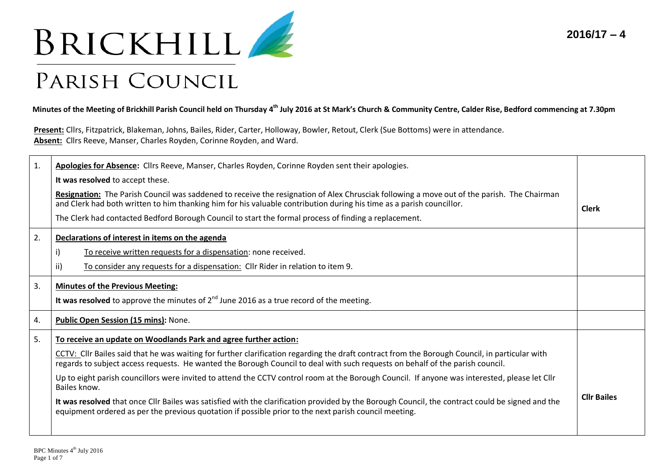



## PARISH COUNCIL

**Minutes of the Meeting of Brickhill Parish Council held on Thursday 4 th July 2016 at St Mark's Church & Community Centre, Calder Rise, Bedford commencing at 7.30pm** 

**Present:** Cllrs, Fitzpatrick, Blakeman, Johns, Bailes, Rider, Carter, Holloway, Bowler, Retout, Clerk (Sue Bottoms) were in attendance. **Absent:** Cllrs Reeve, Manser, Charles Royden, Corinne Royden, and Ward.

| Apologies for Absence: Cllrs Reeve, Manser, Charles Royden, Corinne Royden sent their apologies.                                                                                                                                                                                |                                                                                                                                                                                                                                                                    |  |
|---------------------------------------------------------------------------------------------------------------------------------------------------------------------------------------------------------------------------------------------------------------------------------|--------------------------------------------------------------------------------------------------------------------------------------------------------------------------------------------------------------------------------------------------------------------|--|
| It was resolved to accept these.                                                                                                                                                                                                                                                |                                                                                                                                                                                                                                                                    |  |
|                                                                                                                                                                                                                                                                                 |                                                                                                                                                                                                                                                                    |  |
| The Clerk had contacted Bedford Borough Council to start the formal process of finding a replacement.                                                                                                                                                                           | <b>Clerk</b>                                                                                                                                                                                                                                                       |  |
| Declarations of interest in items on the agenda                                                                                                                                                                                                                                 |                                                                                                                                                                                                                                                                    |  |
| To receive written requests for a dispensation: none received.<br>i)                                                                                                                                                                                                            |                                                                                                                                                                                                                                                                    |  |
| ii)<br>To consider any requests for a dispensation: Cllr Rider in relation to item 9.                                                                                                                                                                                           |                                                                                                                                                                                                                                                                    |  |
| <b>Minutes of the Previous Meeting:</b>                                                                                                                                                                                                                                         |                                                                                                                                                                                                                                                                    |  |
| It was resolved to approve the minutes of $2^{nd}$ June 2016 as a true record of the meeting.                                                                                                                                                                                   |                                                                                                                                                                                                                                                                    |  |
| Public Open Session (15 mins): None.                                                                                                                                                                                                                                            |                                                                                                                                                                                                                                                                    |  |
| To receive an update on Woodlands Park and agree further action:                                                                                                                                                                                                                |                                                                                                                                                                                                                                                                    |  |
| CCTV: Cllr Bailes said that he was waiting for further clarification regarding the draft contract from the Borough Council, in particular with<br>regards to subject access requests. He wanted the Borough Council to deal with such requests on behalf of the parish council. |                                                                                                                                                                                                                                                                    |  |
| Up to eight parish councillors were invited to attend the CCTV control room at the Borough Council. If anyone was interested, please let Cllr<br>Bailes know.                                                                                                                   |                                                                                                                                                                                                                                                                    |  |
| It was resolved that once Cllr Bailes was satisfied with the clarification provided by the Borough Council, the contract could be signed and the<br>equipment ordered as per the previous quotation if possible prior to the next parish council meeting.                       | <b>Cllr Bailes</b>                                                                                                                                                                                                                                                 |  |
|                                                                                                                                                                                                                                                                                 | Resignation: The Parish Council was saddened to receive the resignation of Alex Chrusciak following a move out of the parish. The Chairman<br>and Clerk had both written to him thanking him for his valuable contribution during his time as a parish councillor. |  |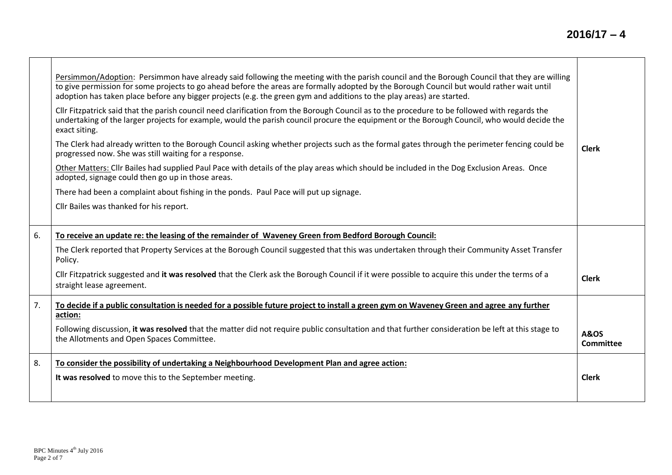|    | Persimmon/Adoption: Persimmon have already said following the meeting with the parish council and the Borough Council that they are willing<br>to give permission for some projects to go ahead before the areas are formally adopted by the Borough Council but would rather wait until<br>adoption has taken place before any bigger projects (e.g. the green gym and additions to the play areas) are started. |                              |
|----|-------------------------------------------------------------------------------------------------------------------------------------------------------------------------------------------------------------------------------------------------------------------------------------------------------------------------------------------------------------------------------------------------------------------|------------------------------|
|    | Cllr Fitzpatrick said that the parish council need clarification from the Borough Council as to the procedure to be followed with regards the<br>undertaking of the larger projects for example, would the parish council procure the equipment or the Borough Council, who would decide the<br>exact siting.                                                                                                     |                              |
|    | The Clerk had already written to the Borough Council asking whether projects such as the formal gates through the perimeter fencing could be<br>progressed now. She was still waiting for a response.                                                                                                                                                                                                             | <b>Clerk</b>                 |
|    | Other Matters: Cllr Bailes had supplied Paul Pace with details of the play areas which should be included in the Dog Exclusion Areas. Once<br>adopted, signage could then go up in those areas.                                                                                                                                                                                                                   |                              |
|    | There had been a complaint about fishing in the ponds. Paul Pace will put up signage.                                                                                                                                                                                                                                                                                                                             |                              |
|    | Cllr Bailes was thanked for his report.                                                                                                                                                                                                                                                                                                                                                                           |                              |
| 6. | To receive an update re: the leasing of the remainder of Waveney Green from Bedford Borough Council:                                                                                                                                                                                                                                                                                                              |                              |
|    | The Clerk reported that Property Services at the Borough Council suggested that this was undertaken through their Community Asset Transfer<br>Policy.                                                                                                                                                                                                                                                             |                              |
|    | Cllr Fitzpatrick suggested and it was resolved that the Clerk ask the Borough Council if it were possible to acquire this under the terms of a<br>straight lease agreement.                                                                                                                                                                                                                                       | <b>Clerk</b>                 |
| 7. | To decide if a public consultation is needed for a possible future project to install a green gym on Waveney Green and agree any further<br>action:                                                                                                                                                                                                                                                               |                              |
|    | Following discussion, it was resolved that the matter did not require public consultation and that further consideration be left at this stage to<br>the Allotments and Open Spaces Committee.                                                                                                                                                                                                                    | <b>A&amp;OS</b><br>Committee |
| 8. | To consider the possibility of undertaking a Neighbourhood Development Plan and agree action:                                                                                                                                                                                                                                                                                                                     |                              |
|    | It was resolved to move this to the September meeting.                                                                                                                                                                                                                                                                                                                                                            | <b>Clerk</b>                 |
|    |                                                                                                                                                                                                                                                                                                                                                                                                                   |                              |
|    |                                                                                                                                                                                                                                                                                                                                                                                                                   |                              |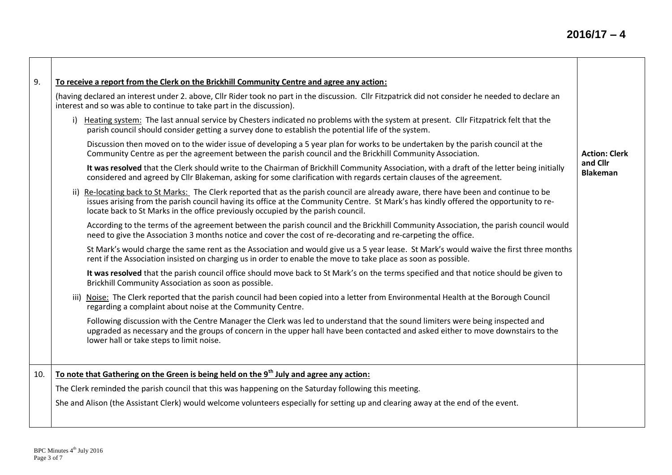| 9.  | To receive a report from the Clerk on the Brickhill Community Centre and agree any action:                                                                                                                                                                                                                                                                         |                             |
|-----|--------------------------------------------------------------------------------------------------------------------------------------------------------------------------------------------------------------------------------------------------------------------------------------------------------------------------------------------------------------------|-----------------------------|
|     | (having declared an interest under 2. above, Cllr Rider took no part in the discussion. Cllr Fitzpatrick did not consider he needed to declare an<br>interest and so was able to continue to take part in the discussion).                                                                                                                                         |                             |
|     | i) Heating system: The last annual service by Chesters indicated no problems with the system at present. Cllr Fitzpatrick felt that the<br>parish council should consider getting a survey done to establish the potential life of the system.                                                                                                                     |                             |
|     | Discussion then moved on to the wider issue of developing a 5 year plan for works to be undertaken by the parish council at the<br>Community Centre as per the agreement between the parish council and the Brickhill Community Association.                                                                                                                       | <b>Action: Clerk</b>        |
|     | It was resolved that the Clerk should write to the Chairman of Brickhill Community Association, with a draft of the letter being initially<br>considered and agreed by Cllr Blakeman, asking for some clarification with regards certain clauses of the agreement.                                                                                                 | and Cllr<br><b>Blakeman</b> |
|     | ii) Re-locating back to St Marks: The Clerk reported that as the parish council are already aware, there have been and continue to be<br>issues arising from the parish council having its office at the Community Centre. St Mark's has kindly offered the opportunity to re-<br>locate back to St Marks in the office previously occupied by the parish council. |                             |
|     | According to the terms of the agreement between the parish council and the Brickhill Community Association, the parish council would<br>need to give the Association 3 months notice and cover the cost of re-decorating and re-carpeting the office.                                                                                                              |                             |
|     | St Mark's would charge the same rent as the Association and would give us a 5 year lease. St Mark's would waive the first three months<br>rent if the Association insisted on charging us in order to enable the move to take place as soon as possible.                                                                                                           |                             |
|     | It was resolved that the parish council office should move back to St Mark's on the terms specified and that notice should be given to<br>Brickhill Community Association as soon as possible.                                                                                                                                                                     |                             |
|     | iii) Noise: The Clerk reported that the parish council had been copied into a letter from Environmental Health at the Borough Council<br>regarding a complaint about noise at the Community Centre.                                                                                                                                                                |                             |
|     | Following discussion with the Centre Manager the Clerk was led to understand that the sound limiters were being inspected and<br>upgraded as necessary and the groups of concern in the upper hall have been contacted and asked either to move downstairs to the<br>lower hall or take steps to limit noise.                                                      |                             |
| 10. | To note that Gathering on the Green is being held on the 9 <sup>th</sup> July and agree any action:                                                                                                                                                                                                                                                                |                             |
|     | The Clerk reminded the parish council that this was happening on the Saturday following this meeting.                                                                                                                                                                                                                                                              |                             |
|     | She and Alison (the Assistant Clerk) would welcome volunteers especially for setting up and clearing away at the end of the event.                                                                                                                                                                                                                                 |                             |
|     |                                                                                                                                                                                                                                                                                                                                                                    |                             |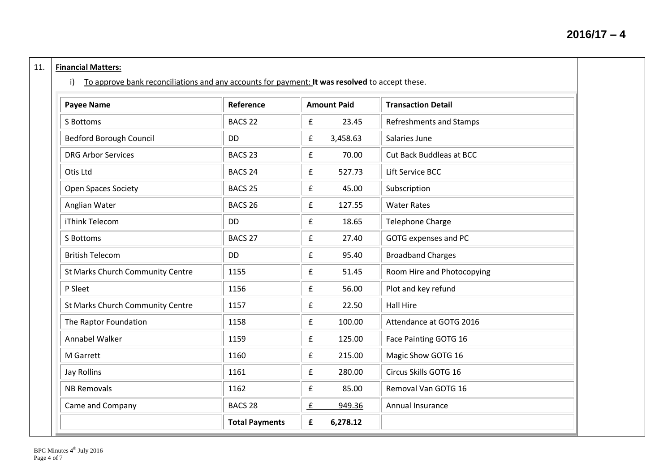## 11. **Financial Matters:**

i) To approve bank reconciliations and any accounts for payment: **It was resolved** to accept these.

| <b>Payee Name</b>                | Reference             | <b>Amount Paid</b>                 | <b>Transaction Detail</b>       |
|----------------------------------|-----------------------|------------------------------------|---------------------------------|
| S Bottoms                        | BACS <sub>22</sub>    | $\mathbf f$<br>23.45               | <b>Refreshments and Stamps</b>  |
| <b>Bedford Borough Council</b>   | <b>DD</b>             | 3,458.63<br>£                      | Salaries June                   |
| <b>DRG Arbor Services</b>        | BACS <sub>23</sub>    | f<br>70.00                         | <b>Cut Back Buddleas at BCC</b> |
| Otis Ltd                         | BACS <sub>24</sub>    | $\pmb{\mathrm{f}}$<br>527.73       | Lift Service BCC                |
| <b>Open Spaces Society</b>       | BACS <sub>25</sub>    | $\mathbf f$<br>45.00               | Subscription                    |
| Anglian Water                    | BACS <sub>26</sub>    | 127.55<br>£                        | <b>Water Rates</b>              |
| iThink Telecom                   | <b>DD</b>             | £<br>18.65                         | <b>Telephone Charge</b>         |
| S Bottoms                        | BACS <sub>27</sub>    | $\mathbf f$<br>27.40               | GOTG expenses and PC            |
| <b>British Telecom</b>           | <b>DD</b>             | $\mathbf f$<br>95.40               | <b>Broadband Charges</b>        |
| St Marks Church Community Centre | 1155                  | £<br>51.45                         | Room Hire and Photocopying      |
| P Sleet                          | 1156                  | $\pmb{\mathsf{f}}$<br>56.00        | Plot and key refund             |
| St Marks Church Community Centre | 1157                  | 22.50<br>£                         | <b>Hall Hire</b>                |
| The Raptor Foundation            | 1158                  | $\pmb{\mathsf{f}}$<br>100.00       | Attendance at GOTG 2016         |
| Annabel Walker                   | 1159                  | 125.00<br>£                        | Face Painting GOTG 16           |
| M Garrett                        | 1160                  | f<br>215.00                        | Magic Show GOTG 16              |
| <b>Jay Rollins</b>               | 1161                  | $\mathbf f$<br>280.00              | Circus Skills GOTG 16           |
| <b>NB Removals</b>               | 1162                  | $\pmb{\mathsf{f}}$<br>85.00        | Removal Van GOTG 16             |
| Came and Company                 | BACS <sub>28</sub>    | $\underline{\mathbf{f}}$<br>949.36 | Annual Insurance                |
|                                  | <b>Total Payments</b> | 6,278.12<br>£                      |                                 |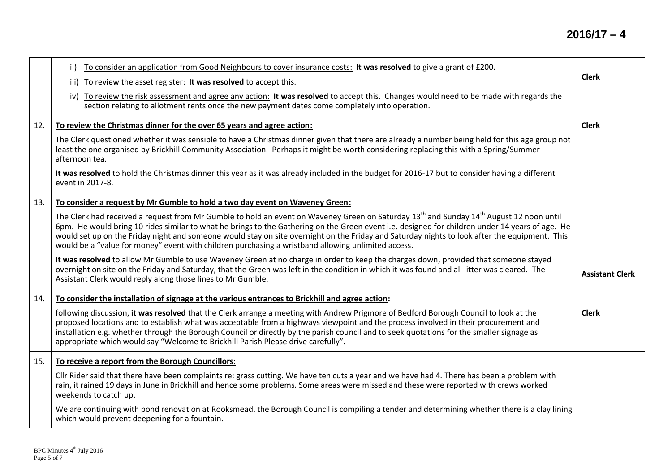## **2016/17 – 4**

|     | To consider an application from Good Neighbours to cover insurance costs: It was resolved to give a grant of £200.<br>ii)<br>To review the asset register: It was resolved to accept this.<br>iii)<br>iv) To review the risk assessment and agree any action: It was resolved to accept this. Changes would need to be made with regards the<br>section relating to allotment rents once the new payment dates come completely into operation.                                                                                                              | <b>Clerk</b>           |
|-----|-------------------------------------------------------------------------------------------------------------------------------------------------------------------------------------------------------------------------------------------------------------------------------------------------------------------------------------------------------------------------------------------------------------------------------------------------------------------------------------------------------------------------------------------------------------|------------------------|
| 12. | To review the Christmas dinner for the over 65 years and agree action:                                                                                                                                                                                                                                                                                                                                                                                                                                                                                      | <b>Clerk</b>           |
|     | The Clerk questioned whether it was sensible to have a Christmas dinner given that there are already a number being held for this age group not<br>least the one organised by Brickhill Community Association. Perhaps it might be worth considering replacing this with a Spring/Summer<br>afternoon tea.                                                                                                                                                                                                                                                  |                        |
|     | It was resolved to hold the Christmas dinner this year as it was already included in the budget for 2016-17 but to consider having a different<br>event in 2017-8.                                                                                                                                                                                                                                                                                                                                                                                          |                        |
| 13. | To consider a request by Mr Gumble to hold a two day event on Waveney Green:                                                                                                                                                                                                                                                                                                                                                                                                                                                                                |                        |
|     | The Clerk had received a request from Mr Gumble to hold an event on Waveney Green on Saturday $13^{th}$ and Sunday $14^{th}$ August 12 noon until<br>6pm. He would bring 10 rides similar to what he brings to the Gathering on the Green event i.e. designed for children under 14 years of age. He<br>would set up on the Friday night and someone would stay on site overnight on the Friday and Saturday nights to look after the equipment. This<br>would be a "value for money" event with children purchasing a wristband allowing unlimited access. |                        |
|     | It was resolved to allow Mr Gumble to use Waveney Green at no charge in order to keep the charges down, provided that someone stayed<br>overnight on site on the Friday and Saturday, that the Green was left in the condition in which it was found and all litter was cleared. The<br>Assistant Clerk would reply along those lines to Mr Gumble.                                                                                                                                                                                                         | <b>Assistant Clerk</b> |
| 14. | To consider the installation of signage at the various entrances to Brickhill and agree action:                                                                                                                                                                                                                                                                                                                                                                                                                                                             |                        |
|     | following discussion, it was resolved that the Clerk arrange a meeting with Andrew Prigmore of Bedford Borough Council to look at the<br>proposed locations and to establish what was acceptable from a highways viewpoint and the process involved in their procurement and<br>installation e.g. whether through the Borough Council or directly by the parish council and to seek quotations for the smaller signage as<br>appropriate which would say "Welcome to Brickhill Parish Please drive carefully".                                              | <b>Clerk</b>           |
| 15. | To receive a report from the Borough Councillors:                                                                                                                                                                                                                                                                                                                                                                                                                                                                                                           |                        |
|     | Cllr Rider said that there have been complaints re: grass cutting. We have ten cuts a year and we have had 4. There has been a problem with<br>rain, it rained 19 days in June in Brickhill and hence some problems. Some areas were missed and these were reported with crews worked<br>weekends to catch up.                                                                                                                                                                                                                                              |                        |
|     | We are continuing with pond renovation at Rooksmead, the Borough Council is compiling a tender and determining whether there is a clay lining<br>which would prevent deepening for a fountain.                                                                                                                                                                                                                                                                                                                                                              |                        |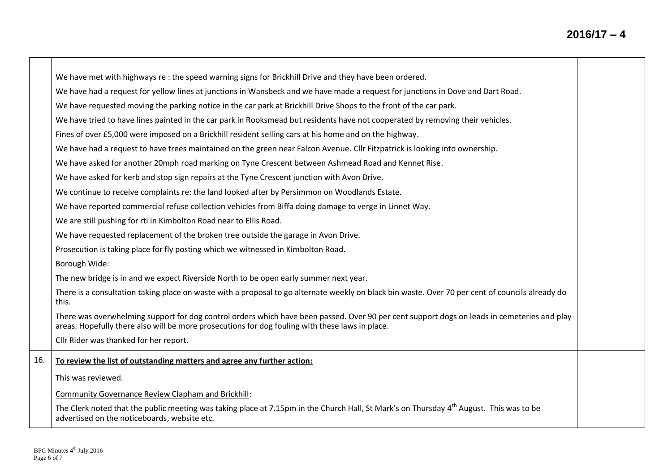|     | We have met with highways re: the speed warning signs for Brickhill Drive and they have been ordered.                                                                                                                                          |  |
|-----|------------------------------------------------------------------------------------------------------------------------------------------------------------------------------------------------------------------------------------------------|--|
|     | We have had a request for yellow lines at junctions in Wansbeck and we have made a request for junctions in Dove and Dart Road.                                                                                                                |  |
|     | We have requested moving the parking notice in the car park at Brickhill Drive Shops to the front of the car park.                                                                                                                             |  |
|     | We have tried to have lines painted in the car park in Rooksmead but residents have not cooperated by removing their vehicles.                                                                                                                 |  |
|     | Fines of over £5,000 were imposed on a Brickhill resident selling cars at his home and on the highway.                                                                                                                                         |  |
|     | We have had a request to have trees maintained on the green near Falcon Avenue. Cllr Fitzpatrick is looking into ownership.                                                                                                                    |  |
|     | We have asked for another 20mph road marking on Tyne Crescent between Ashmead Road and Kennet Rise.                                                                                                                                            |  |
|     | We have asked for kerb and stop sign repairs at the Tyne Crescent junction with Avon Drive.                                                                                                                                                    |  |
|     | We continue to receive complaints re: the land looked after by Persimmon on Woodlands Estate.                                                                                                                                                  |  |
|     | We have reported commercial refuse collection vehicles from Biffa doing damage to verge in Linnet Way.                                                                                                                                         |  |
|     | We are still pushing for rti in Kimbolton Road near to Ellis Road.                                                                                                                                                                             |  |
|     | We have requested replacement of the broken tree outside the garage in Avon Drive.                                                                                                                                                             |  |
|     | Prosecution is taking place for fly posting which we witnessed in Kimbolton Road.                                                                                                                                                              |  |
|     | Borough Wide:                                                                                                                                                                                                                                  |  |
|     | The new bridge is in and we expect Riverside North to be open early summer next year.                                                                                                                                                          |  |
|     | There is a consultation taking place on waste with a proposal to go alternate weekly on black bin waste. Over 70 per cent of councils already do<br>this.                                                                                      |  |
|     | There was overwhelming support for dog control orders which have been passed. Over 90 per cent support dogs on leads in cemeteries and play<br>areas. Hopefully there also will be more prosecutions for dog fouling with these laws in place. |  |
|     | Cllr Rider was thanked for her report.                                                                                                                                                                                                         |  |
| 16. | To review the list of outstanding matters and agree any further action:                                                                                                                                                                        |  |
|     | This was reviewed.                                                                                                                                                                                                                             |  |
|     | Community Governance Review Clapham and Brickhill:                                                                                                                                                                                             |  |
|     | The Clerk noted that the public meeting was taking place at 7.15pm in the Church Hall, St Mark's on Thursday 4 <sup>th</sup> August. This was to be<br>advertised on the noticeboards, website etc.                                            |  |

 $\mathcal{L}$